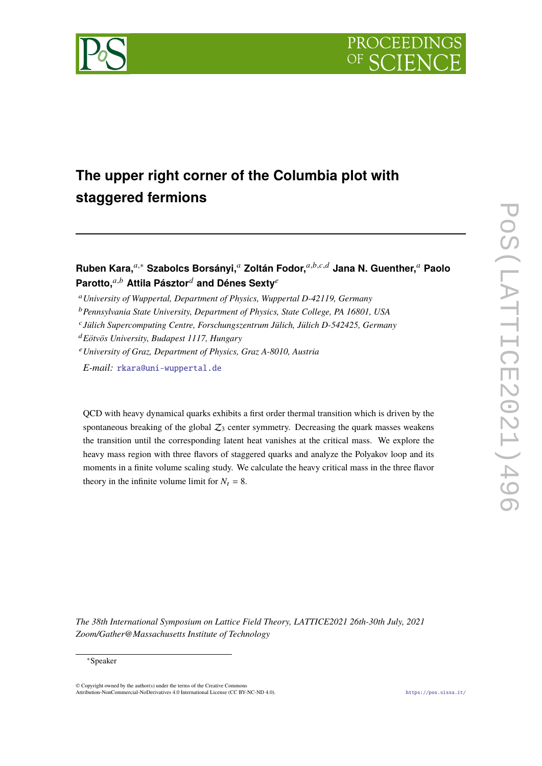



# **The upper right corner of the Columbia plot with staggered fermions**

**Ruben Kara,**𝑎,<sup>∗</sup> **Szabolcs Borsányi,**<sup>𝑎</sup> **Zoltán Fodor,**𝑎,𝑏,𝑐,𝑑 **Jana N. Guenther,**<sup>𝑎</sup> **Paolo** Parotto,<sup>a,b</sup> Attila Pásztor<sup>d</sup> and Dénes Sexty<sup>e</sup>

<sup>𝑎</sup>*University of Wuppertal, Department of Physics, Wuppertal D-42119, Germany*

<sup>b</sup> Pennsylvania State University, Department of Physics, State College, PA 16801, USA

<sup>𝑑</sup>*Eötvös University, Budapest 1117, Hungary*

<sup>𝑒</sup>*University of Graz, Department of Physics, Graz A-8010, Austria*

*E-mail:* [rkara@uni-wuppertal.de](mailto:rkara@uni-wuppertal.de)

QCD with heavy dynamical quarks exhibits a first order thermal transition which is driven by the spontaneous breaking of the global  $Z_3$  center symmetry. Decreasing the quark masses weakens the transition until the corresponding latent heat vanishes at the critical mass. We explore the heavy mass region with three flavors of staggered quarks and analyze the Polyakov loop and its moments in a finite volume scaling study. We calculate the heavy critical mass in the three flavor theory in the infinite volume limit for  $N_t = 8$ .

*The 38th International Symposium on Lattice Field Theory, LATTICE2021 26th-30th July, 2021 Zoom/Gather@Massachusetts Institute of Technology*

© Copyright owned by the author(s) under the terms of the Creative Commons Attribution-NonCommercial-NoDerivatives 4.0 International License (CC BY-NC-ND 4.0). <https://pos.sissa.it/>

𝑐 *Jülich Supercomputing Centre, Forschungszentrum Jülich, Jülich D-542425, Germany*

<sup>∗</sup>Speaker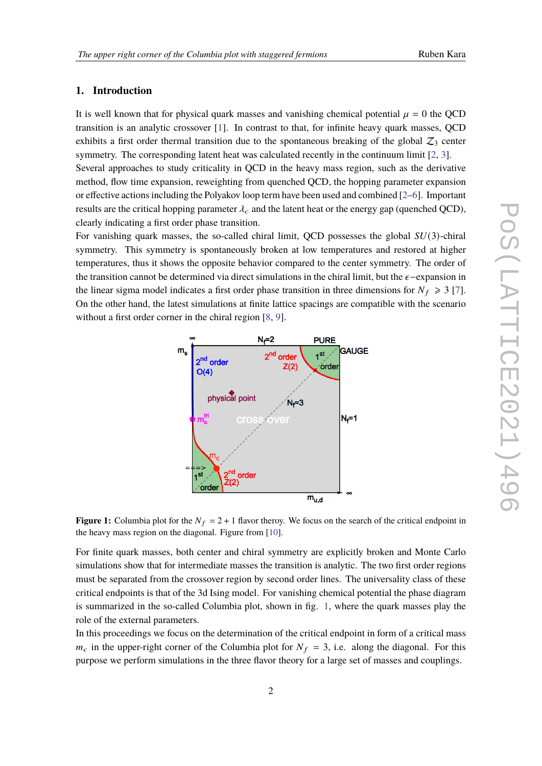# **1. Introduction**

It is well known that for physical quark masses and vanishing chemical potential  $\mu = 0$  the QCD transition is an analytic crossover [\[1\]](#page-6-0). In contrast to that, for infinite heavy quark masses, QCD exhibits a first order thermal transition due to the spontaneous breaking of the global  $Z_3$  center symmetry. The corresponding latent heat was calculated recently in the continuum limit [\[2,](#page-6-1) [3\]](#page-6-2). Several approaches to study criticality in QCD in the heavy mass region, such as the derivative method, flow time expansion, reweighting from quenched QCD, the hopping parameter expansion or effective actions including the Polyakov loop term have been used and combined [\[2–](#page-6-1)[6\]](#page-6-3). Important results are the critical hopping parameter  $\lambda_c$  and the latent heat or the energy gap (quenched QCD), clearly indicating a first order phase transition.

For vanishing quark masses, the so-called chiral limit, OCD possesses the global  $SU(3)$ -chiral symmetry. This symmetry is spontaneously broken at low temperatures and restored at higher temperatures, thus it shows the opposite behavior compared to the center symmetry. The order of the transition cannot be determined via direct simulations in the chiral limit, but the  $\epsilon$ −expansion in the linear sigma model indicates a first order phase transition in three dimensions for  $N_f \geq 3$  [\[7\]](#page-6-4). On the other hand, the latest simulations at finite lattice spacings are compatible with the scenario without a first order corner in the chiral region [\[8,](#page-6-5) [9\]](#page-6-6).



<span id="page-1-0"></span>**Figure 1:** Columbia plot for the  $N_f = 2 + 1$  flavor theroy. We focus on the search of the critical endpoint in the heavy mass region on the diagonal. Figure from [\[10\]](#page-6-7).

For finite quark masses, both center and chiral symmetry are explicitly broken and Monte Carlo simulations show that for intermediate masses the transition is analytic. The two first order regions must be separated from the crossover region by second order lines. The universality class of these critical endpoints is that of the 3d Ising model. For vanishing chemical potential the phase diagram is summarized in the so-called Columbia plot, shown in fig. [1,](#page-1-0) where the quark masses play the role of the external parameters.

In this proceedings we focus on the determination of the critical endpoint in form of a critical mass  $m_c$  in the upper-right corner of the Columbia plot for  $N_f = 3$ , i.e. along the diagonal. For this purpose we perform simulations in the three flavor theory for a large set of masses and couplings.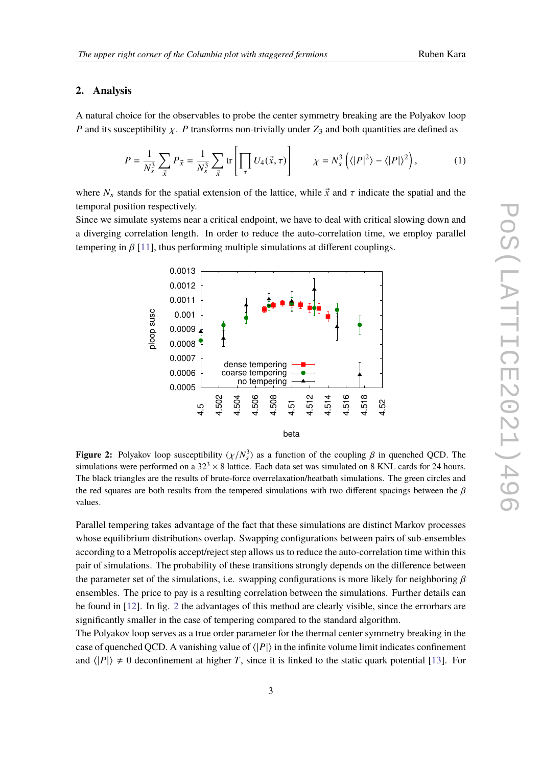### **2. Analysis**

A natural choice for the observables to probe the center symmetry breaking are the Polyakov loop P and its susceptibility  $\chi$ . P transforms non-trivially under  $Z_3$  and both quantities are defined as

$$
P = \frac{1}{N_s^3} \sum_{\vec{x}} P_{\vec{x}} = \frac{1}{N_s^3} \sum_{\vec{x}} \text{tr} \left[ \prod_{\tau} U_4(\vec{x}, \tau) \right] \qquad \chi = N_s^3 \left( \langle |P|^2 \rangle - \langle |P| \rangle^2 \right), \tag{1}
$$

where  $N_s$  stands for the spatial extension of the lattice, while  $\vec{x}$  and  $\tau$  indicate the spatial and the temporal position respectively.

Since we simulate systems near a critical endpoint, we have to deal with critical slowing down and a diverging correlation length. In order to reduce the auto-correlation time, we employ parallel tempering in  $\beta$  [\[11\]](#page-6-8), thus performing multiple simulations at different couplings.



<span id="page-2-0"></span>**Figure 2:** Polyakov loop susceptibility  $(\chi/N_s^3)$  as a function of the coupling  $\beta$  in quenched QCD. The simulations were performed on a  $32<sup>3</sup> \times 8$  lattice. Each data set was simulated on 8 KNL cards for 24 hours. The black triangles are the results of brute-force overrelaxation/heatbath simulations. The green circles and the red squares are both results from the tempered simulations with two different spacings between the  $\beta$ values.

Parallel tempering takes advantage of the fact that these simulations are distinct Markov processes whose equilibrium distributions overlap. Swapping configurations between pairs of sub-ensembles according to a Metropolis accept/reject step allows us to reduce the auto-correlation time within this pair of simulations. The probability of these transitions strongly depends on the difference between the parameter set of the simulations, i.e. swapping configurations is more likely for neighboring  $\beta$ ensembles. The price to pay is a resulting correlation between the simulations. Further details can be found in [\[12\]](#page-6-9). In fig. [2](#page-2-0) the advantages of this method are clearly visible, since the errorbars are significantly smaller in the case of tempering compared to the standard algorithm.

The Polyakov loop serves as a true order parameter for the thermal center symmetry breaking in the case of quenched QCD. A vanishing value of  $\langle |P| \rangle$  in the infinite volume limit indicates confinement and  $\langle |P| \rangle \neq 0$  deconfinement at higher T, since it is linked to the static quark potential [\[13\]](#page-6-10). For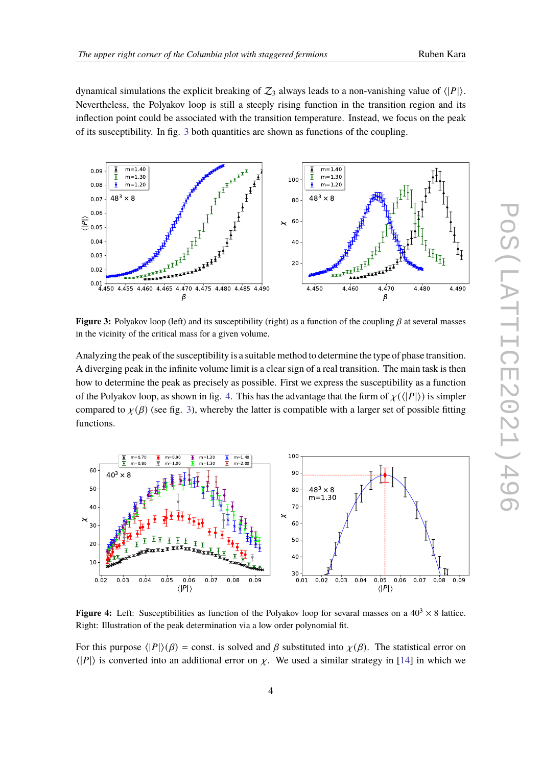dynamical simulations the explicit breaking of  $\mathcal{Z}_3$  always leads to a non-vanishing value of  $\langle |P| \rangle$ . Nevertheless, the Polyakov loop is still a steeply rising function in the transition region and its inflection point could be associated with the transition temperature. Instead, we focus on the peak of its susceptibility. In fig. [3](#page-3-0) both quantities are shown as functions of the coupling.



<span id="page-3-0"></span>**Figure 3:** Polyakov loop (left) and its susceptibility (right) as a function of the coupling  $\beta$  at several masses in the vicinity of the critical mass for a given volume.

Analyzing the peak of the susceptibility is a suitable method to determine the type of phase transition. A diverging peak in the infinite volume limit is a clear sign of a real transition. The main task is then how to determine the peak as precisely as possible. First we express the susceptibility as a function of the Polyakov loop, as shown in fig. [4.](#page-3-1) This has the advantage that the form of  $\chi(\langle |P| \rangle)$  is simpler compared to  $\chi(\beta)$  (see fig. [3\)](#page-3-0), whereby the latter is compatible with a larger set of possible fitting functions.



<span id="page-3-1"></span>**Figure 4:** Left: Susceptibilities as function of the Polyakov loop for sevaral masses on a  $40<sup>3</sup> \times 8$  lattice. Right: Illustration of the peak determination via a low order polynomial fit.

For this purpose  $\langle |P| \rangle (\beta)$  = const. is solved and  $\beta$  substituted into  $\chi(\beta)$ . The statistical error on  $\langle |P| \rangle$  is converted into an additional error on  $\chi$ . We used a similar strategy in [\[14\]](#page-6-11) in which we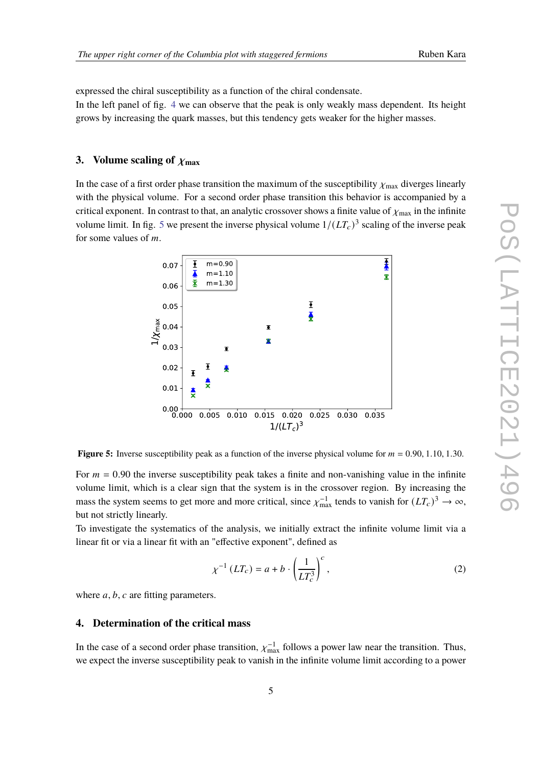expressed the chiral susceptibility as a function of the chiral condensate. In the left panel of fig. [4](#page-3-1) we can observe that the peak is only weakly mass dependent. Its height

grows by increasing the quark masses, but this tendency gets weaker for the higher masses.

## **3.** Volume scaling of  $\chi_{\text{max}}$

In the case of a first order phase transition the maximum of the susceptibility  $\chi_{\text{max}}$  diverges linearly with the physical volume. For a second order phase transition this behavior is accompanied by a critical exponent. In contrast to that, an analytic crossover shows a finite value of  $\chi_{\text{max}}$  in the infinite volume limit. In fig. [5](#page-4-0) we present the inverse physical volume  $1/(LT_c)^3$  scaling of the inverse peak for some values of  $m$ .



<span id="page-4-0"></span>**Figure 5:** Inverse susceptibility peak as a function of the inverse physical volume for  $m = 0.90, 1.10, 1.30$ .

For  $m = 0.90$  the inverse susceptibility peak takes a finite and non-vanishing value in the infinite volume limit, which is a clear sign that the system is in the crossover region. By increasing the mass the system seems to get more and more critical, since  $\chi_{\text{max}}^{-1}$  tends to vanish for  $(LT_c)^3 \to \infty$ , but not strictly linearly.

To investigate the systematics of the analysis, we initially extract the infinite volume limit via a linear fit or via a linear fit with an "effective exponent", defined as

<span id="page-4-1"></span>
$$
\chi^{-1}(LT_c) = a + b \cdot \left(\frac{1}{LT_c^3}\right)^c,\tag{2}
$$

where  $a, b, c$  are fitting parameters.

### **4. Determination of the critical mass**

In the case of a second order phase transition,  $\chi_{\text{max}}^{-1}$  follows a power law near the transition. Thus, we expect the inverse susceptibility peak to vanish in the infinite volume limit according to a power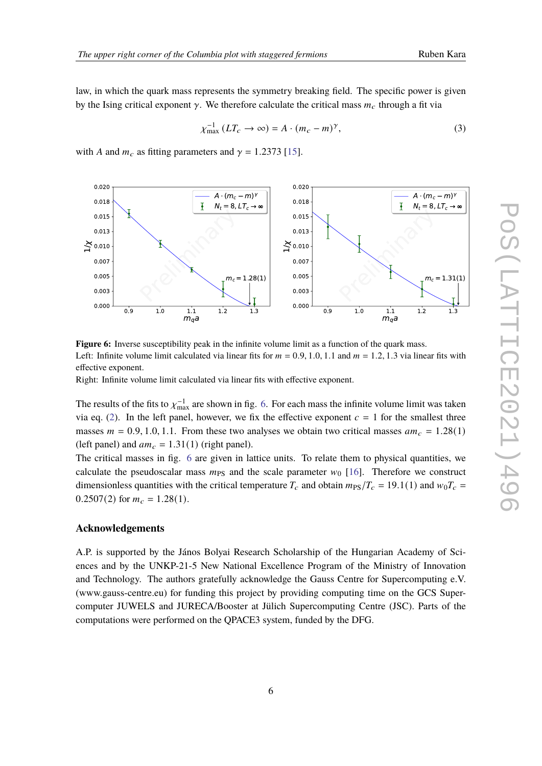law, in which the quark mass represents the symmetry breaking field. The specific power is given by the Ising critical exponent  $\gamma$ . We therefore calculate the critical mass  $m_c$  through a fit via

$$
\chi_{\text{max}}^{-1} (LT_c \to \infty) = A \cdot (m_c - m)^\gamma,
$$
\n(3)

with A and  $m_c$  as fitting parameters and  $\gamma = 1.2373$  [\[15\]](#page-6-12).



<span id="page-5-0"></span>**Figure 6:** Inverse susceptibility peak in the infinite volume limit as a function of the quark mass. Left: Infinite volume limit calculated via linear fits for  $m = 0.9, 1.0, 1.1$  and  $m = 1.2, 1.3$  via linear fits with effective exponent.

Right: Infinite volume limit calculated via linear fits with effective exponent.

The results of the fits to  $\chi_{\rm max}^{-1}$  are shown in fig. [6.](#page-5-0) For each mass the infinite volume limit was taken via eq. [\(2\)](#page-4-1). In the left panel, however, we fix the effective exponent  $c = 1$  for the smallest three masses  $m = 0.9, 1.0, 1.1$ . From these two analyses we obtain two critical masses  $am_c = 1.28(1)$ (left panel) and  $am_c = 1.31(1)$  (right panel).

The critical masses in fig. [6](#page-5-0) are given in lattice units. To relate them to physical quantities, we calculate the pseudoscalar mass  $m_{PS}$  and the scale parameter  $w_0$  [\[16\]](#page-6-13). Therefore we construct dimensionless quantities with the critical temperature  $T_c$  and obtain  $m_{PS}/T_c = 19.1(1)$  and  $w_0 T_c =$ 0.2507(2) for  $m_c = 1.28(1)$ .

#### **Acknowledgements**

A.P. is supported by the János Bolyai Research Scholarship of the Hungarian Academy of Sciences and by the UNKP-21-5 New National Excellence Program of the Ministry of Innovation and Technology. The authors gratefully acknowledge the Gauss Centre for Supercomputing e.V. (www.gauss-centre.eu) for funding this project by providing computing time on the GCS Supercomputer JUWELS and JURECA/Booster at Jülich Supercomputing Centre (JSC). Parts of the computations were performed on the QPACE3 system, funded by the DFG.